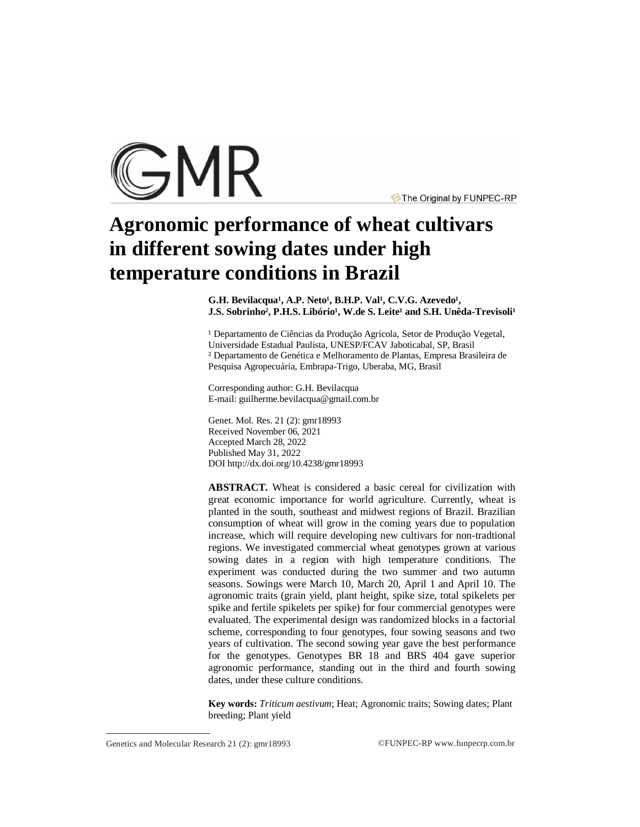

The Original by FUNPEC-RP

# **Agronomic performance of wheat cultivars in different sowing dates under high temperature conditions in Brazil**

G.H. Bevilacqua<sup>1</sup>, A.P. Neto<sup>1</sup>, B.H.P. Val<sup>1</sup>, C.V.G. Azevedo<sup>1</sup>, **J.S. Sobrinho<sup>2</sup>, P.H.S. Libório<sup>1</sup>, W.de S. Leite<sup>1</sup> and S.H. Unêda-Trevisoli<sup>1</sup>** 

<sup>1</sup> Departamento de Ciências da Produção Agrícola, Setor de Produção Vegetal, Universidade Estadual Paulista, UNESP/FCAV Jaboticabal, SP, Brasil ² Departamento de Genética e Melhoramento de Plantas, Empresa Brasileira de Pesquisa Agropecuária, Embrapa-Trigo, Uberaba, MG, Brasil

Corresponding author: G.H. Bevilacqua E-mail: [guilherme.bevilacqua@gmail.com.br](mailto:guilherme.bevilacqua@gmail.com.br)

Genet. Mol. Res. 21 (2): gmr18993 Received November 06, 2021 Accepted March 28, 2022 Published May 31, 2022 DOI <http://dx.doi.org/10.4238/gmr18993>

**ABSTRACT.** Wheat is considered a basic cereal for civilization with great economic importance for world agriculture. Currently, wheat is planted in the south, southeast and midwest regions of Brazil. Brazilian consumption of wheat will grow in the coming years due to population increase, which will require developing new cultivars for non-tradtional regions. We investigated commercial wheat genotypes grown at various sowing dates in a region with high temperature conditions. The experiment was conducted during the two summer and two autumn seasons. Sowings were March 10, March 20, April 1 and April 10. The agronomic traits (grain yield, plant height, spike size, total spikelets per spike and fertile spikelets per spike) for four commercial genotypes were evaluated. The experimental design was randomized blocks in a factorial scheme, corresponding to four genotypes, four sowing seasons and two years of cultivation. The second sowing year gave the best performance for the genotypes. Genotypes BR 18 and BRS 404 gave superior agronomic performance, standing out in the third and fourth sowing dates, under these culture conditions.

**Key words:** *Triticum aestivum*; Heat; Agronomic traits; Sowing dates; Plant breeding; Plant yield

Genetics and Molecular Research 21 (2): gmr18993 ©FUNPEC-RP [www.funpecrp.com.br](http://www.funpecrp.com.br)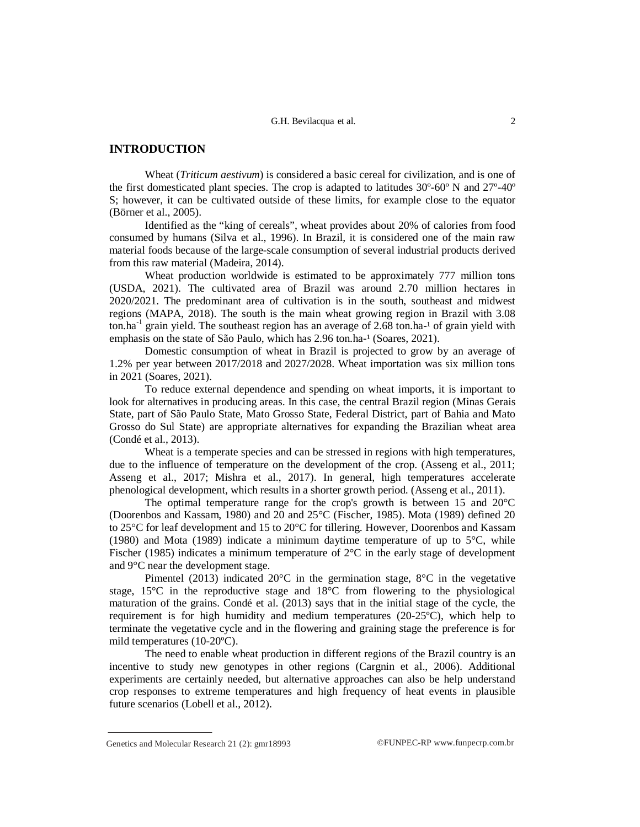## **INTRODUCTION**

Wheat (*Triticum aestivum*) is considered a basic cereal for civilization, and is one of the first domesticated plant species. The crop is adapted to latitudes 30º-60º N and 27º-40º S; however, it can be cultivated outside of these limits, for example close to the equator (Börner et al., 2005).

Identified as the "king of cereals", wheat provides about 20% of calories from food consumed by humans (Silva et al., 1996). In Brazil, it is considered one of the main raw material foods because of the large-scale consumption of several industrial products derived from this raw material (Madeira, 2014).

Wheat production worldwide is estimated to be approximately 777 million tons (USDA, 2021). The cultivated area of Brazil was around 2.70 million hectares in 2020/2021. The predominant area of cultivation is in the south, southeast and midwest regions (MAPA, 2018). The south is the main wheat growing region in Brazil with 3.08 ton.ha<sup>-1</sup> grain yield. The southeast region has an average of 2.68 ton.ha-<sup>1</sup> of grain yield with emphasis on the state of São Paulo, which has 2.96 ton.ha-<sup>1</sup> (Soares, 2021).

Domestic consumption of wheat in Brazil is projected to grow by an average of 1.2% per year between 2017/2018 and 2027/2028. Wheat importation was six million tons in 2021 (Soares, 2021).

To reduce external dependence and spending on wheat imports, it is important to look for alternatives in producing areas. In this case, the central Brazil region (Minas Gerais State, part of São Paulo State, Mato Grosso State, Federal District, part of Bahia and Mato Grosso do Sul State) are appropriate alternatives for expanding the Brazilian wheat area (Condé et al., 2013).

Wheat is a temperate species and can be stressed in regions with high temperatures, due to the influence of temperature on the development of the crop. (Asseng et al., 2011; Asseng et al., 2017; Mishra et al., 2017). In general, high temperatures accelerate phenological development, which results in a shorter growth period. (Asseng et al., 2011).

The optimal temperature range for the crop's growth is between 15 and 20°C (Doorenbos and Kassam, 1980) and 20 and 25°C (Fischer, 1985). Mota (1989) defined 20 to 25°C for leaf development and 15 to 20°C for tillering. However, Doorenbos and Kassam (1980) and Mota (1989) indicate a minimum daytime temperature of up to  $5^{\circ}$ C, while Fischer (1985) indicates a minimum temperature of  $2^{\circ}C$  in the early stage of development and 9°C near the development stage.

Pimentel (2013) indicated 20 $^{\circ}$ C in the germination stage, 8 $^{\circ}$ C in the vegetative stage, 15°C in the reproductive stage and 18°C from flowering to the physiological maturation of the grains. Condé et al. (2013) says that in the initial stage of the cycle, the requirement is for high humidity and medium temperatures (20-25ºC), which help to terminate the vegetative cycle and in the flowering and graining stage the preference is for mild temperatures (10-20ºC).

The need to enable wheat production in different regions of the Brazil country is an incentive to study new genotypes in other regions (Cargnin et al., 2006). Additional experiments are certainly needed, but alternative approaches can also be help understand crop responses to extreme temperatures and high frequency of heat events in plausible future scenarios (Lobell et al., 2012).

Genetics and Molecular Research 21 (2):  $gmr18993$  ©FUNPEC-RP [www.funpecrp.com.br](http://www.funpecrp.com.br)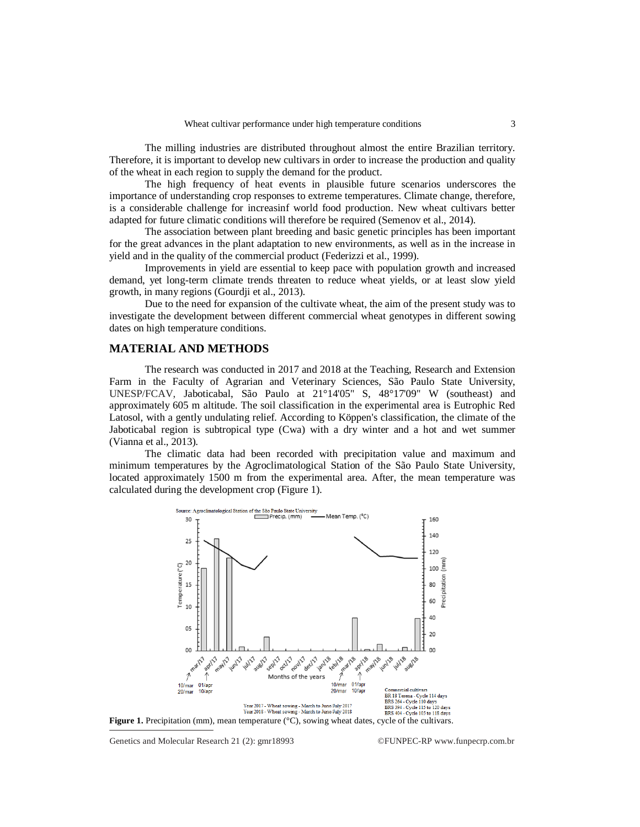The milling industries are distributed throughout almost the entire Brazilian territory. Therefore, it is important to develop new cultivars in order to increase the production and quality of the wheat in each region to supply the demand for the product.

The high frequency of heat events in plausible future scenarios underscores the importance of understanding crop responses to extreme temperatures. Climate change, therefore, is a considerable challenge for increasinf world food production. New wheat cultivars better adapted for future climatic conditions will therefore be required (Semenov et al., 2014).

The association between plant breeding and basic genetic principles has been important for the great advances in the plant adaptation to new environments, as well as in the increase in yield and in the quality of the commercial product (Federizzi et al., 1999).

Improvements in yield are essential to keep pace with population growth and increased demand, yet long-term climate trends threaten to reduce wheat yields, or at least slow yield growth, in many regions (Gourdji et al., 2013).

Due to the need for expansion of the cultivate wheat, the aim of the present study was to investigate the development between different commercial wheat genotypes in different sowing dates on high temperature conditions.

## **MATERIAL AND METHODS**

The research was conducted in 2017 and 2018 at the Teaching, Research and Extension Farm in the Faculty of Agrarian and Veterinary Sciences, São Paulo State University, UNESP/FCAV, Jaboticabal, São Paulo at 21°14'05" S, 48°17'09" W (southeast) and approximately 605 m altitude. The soil classification in the experimental area is Eutrophic Red Latosol, with a gently undulating relief. According to Köppen's classification, the climate of the Jaboticabal region is subtropical type (Cwa) with a dry winter and a hot and wet summer (Vianna et al., 2013).

The climatic data had been recorded with precipitation value and maximum and minimum temperatures by the Agroclimatological Station of the São Paulo State University, located approximately 1500 m from the experimental area. After, the mean temperature was calculated during the development crop (Figure 1).



Genetics and Molecular Research 21 (2):  $gmr18993$  ©FUNPEC-RP [www.funpecrp.com.br](http://www.funpecrp.com.br)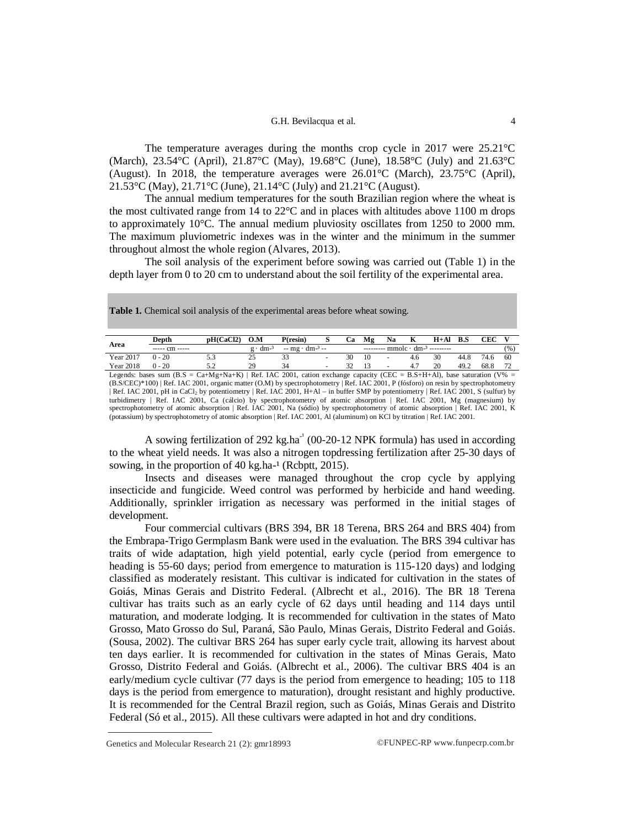#### G.H. Bevilacqua et al. 4

The temperature averages during the months crop cycle in 2017 were 25.21°C (March), 23.54°C (April), 21.87°C (May), 19.68°C (June), 18.58°C (July) and 21.63°C (August). In 2018, the temperature averages were 26.01°C (March), 23.75°C (April), 21.53°C (May), 21.71°C (June), 21.14°C (July) and 21.21°C (August).

The annual medium temperatures for the south Brazilian region where the wheat is the most cultivated range from  $14$  to  $22^{\circ}$ C and in places with altitudes above  $1100$  m drops to approximately 10°C. The annual medium pluviosity oscillates from 1250 to 2000 mm. The maximum pluviometric indexes was in the winter and the minimum in the summer throughout almost the whole region (Alvares, 2013).

The soil analysis of the experiment before sowing was carried out (Table 1) in the depth layer from 0 to 20 cm to understand about the soil fertility of the experimental area.

|                                                                                                                                   | Depth                                                                                                                                         | pH(CaCl2) | O.M               | P(resin)              | s | <b>Ca</b> | Mφ  | Na | К   | $H+AI$                         | - B.S | CEC  |     |
|-----------------------------------------------------------------------------------------------------------------------------------|-----------------------------------------------------------------------------------------------------------------------------------------------|-----------|-------------------|-----------------------|---|-----------|-----|----|-----|--------------------------------|-------|------|-----|
| Area                                                                                                                              | $--- cm ---$                                                                                                                                  |           | $g \cdot dm^{-3}$ | $-mg \cdot dm^{-3} -$ |   |           |     |    |     | $---$ mmole $dm^{-3}$ -------- |       |      | (%) |
| Year 2017                                                                                                                         | $0 - 20$                                                                                                                                      | 5.3       | 25                | 33                    |   | 30        | 10  | ٠  | 4.6 | 30                             | 44.8  | 74.6 | 60  |
| <b>Year 2018</b>                                                                                                                  | $0 - 20$                                                                                                                                      | 5.2       | 29                | 34                    | ۰ | 32        | -13 | ٠  | 4.7 | 20                             | 49.2  | 68.8 |     |
| Legends: bases sum $(B.S = Ca+Mg+Na+K)$   Ref. IAC 2001, cation exchange capacity (CEC = B.S+H+Al), base saturation (V% =         |                                                                                                                                               |           |                   |                       |   |           |     |    |     |                                |       |      |     |
| $(B.S/CEC)*100$ Ref. IAC 2001, organic matter (O.M) by spectrophotometry Ref. IAC 2001, P (fósforo) on resin by spectrophotometry |                                                                                                                                               |           |                   |                       |   |           |     |    |     |                                |       |      |     |
|                                                                                                                                   | Ref. IAC 2001, pH in CaCl <sub>2</sub> by potentiometry   Ref. IAC 2001, H+Al – in buffer SMP by potentiometry   Ref. IAC 2001, S (sulfur) by |           |                   |                       |   |           |     |    |     |                                |       |      |     |

Table 1. Chemical soil analysis of the experimental areas before wheat sowing.

| Ref. IAC 2001, pH in CaCl2 by potentiometry | Ref. IAC 2001, H+Al – in buffer SMP by potentiometry | Ref. IAC 2001, S (sulfur) by turbidimetry | Ref. IAC 2001, Ca (cálcio) by spectrophotometry of atomic absorption | Ref. (potassium) by spectrophotometry of atomic absorption | Ref. IAC 2001, Al (aluminum) on KCl by titration | Ref. IAC 2001.

A sowing fertilization of 292  $\text{kg.ha}^{-1}$  (00-20-12 NPK formula) has used in according to the wheat yield needs. It was also a nitrogen topdressing fertilization after 25-30 days of sowing, in the proportion of  $40 \text{ kg.ha-}1 \text{ (Rcbptt, } 2015)$ .

Insects and diseases were managed throughout the crop cycle by applying insecticide and fungicide. Weed control was performed by herbicide and hand weeding. Additionally, sprinkler irrigation as necessary was performed in the initial stages of development.

Four commercial cultivars (BRS 394, BR 18 Terena, BRS 264 and BRS 404) from the Embrapa-Trigo Germplasm Bank were used in the evaluation. The BRS 394 cultivar has traits of wide adaptation, high yield potential, early cycle (period from emergence to heading is 55-60 days; period from emergence to maturation is 115-120 days) and lodging classified as moderately resistant. This cultivar is indicated for cultivation in the states of Goiás, Minas Gerais and Distrito Federal. (Albrecht et al., 2016). The BR 18 Terena cultivar has traits such as an early cycle of 62 days until heading and 114 days until maturation, and moderate lodging. It is recommended for cultivation in the states of Mato Grosso, Mato Grosso do Sul, Paraná, São Paulo, Minas Gerais, Distrito Federal and Goiás. (Sousa, 2002). The cultivar BRS 264 has super early cycle trait, allowing its harvest about ten days earlier. It is recommended for cultivation in the states of Minas Gerais, Mato Grosso, Distrito Federal and Goiás. (Albrecht et al., 2006). The cultivar BRS 404 is an early/medium cycle cultivar (77 days is the period from emergence to heading; 105 to 118 days is the period from emergence to maturation), drought resistant and highly productive. It is recommended for the Central Brazil region, such as Goiás, Minas Gerais and Distrito Federal (Só et al., 2015). All these cultivars were adapted in hot and dry conditions.

Genetics and Molecular Research 21 (2):  $gmr18993$  ©FUNPEC-RP [www.funpecrp.com.br](http://www.funpecrp.com.br)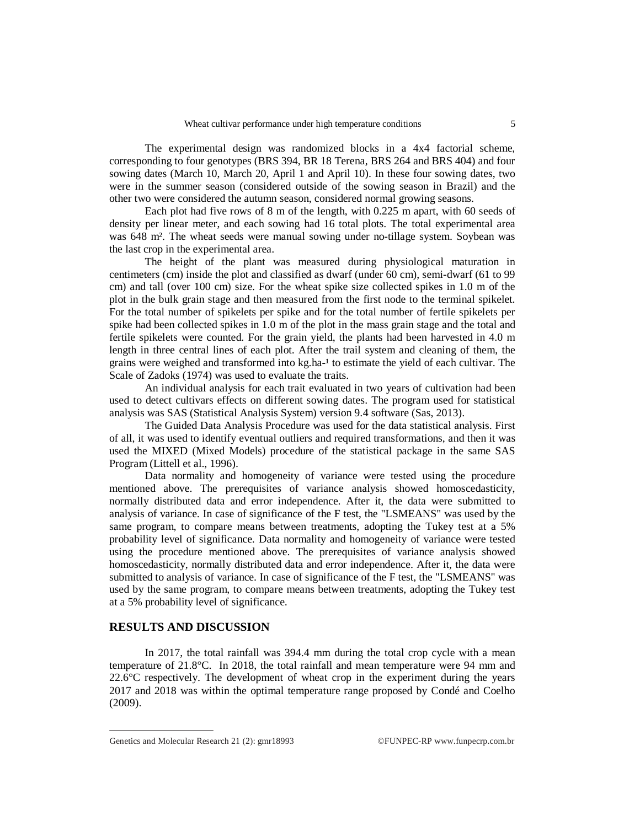The experimental design was randomized blocks in a 4x4 factorial scheme, corresponding to four genotypes (BRS 394, BR 18 Terena, BRS 264 and BRS 404) and four sowing dates (March 10, March 20, April 1 and April 10). In these four sowing dates, two were in the summer season (considered outside of the sowing season in Brazil) and the other two were considered the autumn season, considered normal growing seasons.

Each plot had five rows of 8 m of the length, with 0.225 m apart, with 60 seeds of density per linear meter, and each sowing had 16 total plots. The total experimental area was 648 m². The wheat seeds were manual sowing under no-tillage system. Soybean was the last crop in the experimental area.

The height of the plant was measured during physiological maturation in centimeters (cm) inside the plot and classified as dwarf (under 60 cm), semi-dwarf (61 to 99 cm) and tall (over 100 cm) size. For the wheat spike size collected spikes in 1.0 m of the plot in the bulk grain stage and then measured from the first node to the terminal spikelet. For the total number of spikelets per spike and for the total number of fertile spikelets per spike had been collected spikes in 1.0 m of the plot in the mass grain stage and the total and fertile spikelets were counted. For the grain yield, the plants had been harvested in 4.0 m length in three central lines of each plot. After the trail system and cleaning of them, the grains were weighed and transformed into kg.ha<sup>-1</sup> to estimate the yield of each cultivar. The Scale of Zadoks (1974) was used to evaluate the traits.

An individual analysis for each trait evaluated in two years of cultivation had been used to detect cultivars effects on different sowing dates. The program used for statistical analysis was SAS (Statistical Analysis System) version 9.4 software (Sas, 2013).

The Guided Data Analysis Procedure was used for the data statistical analysis. First of all, it was used to identify eventual outliers and required transformations, and then it was used the MIXED (Mixed Models) procedure of the statistical package in the same SAS Program (Littell et al., 1996).

Data normality and homogeneity of variance were tested using the procedure mentioned above. The prerequisites of variance analysis showed homoscedasticity, normally distributed data and error independence. After it, the data were submitted to analysis of variance. In case of significance of the F test, the "LSMEANS" was used by the same program, to compare means between treatments, adopting the Tukey test at a 5% probability level of significance. Data normality and homogeneity of variance were tested using the procedure mentioned above. The prerequisites of variance analysis showed homoscedasticity, normally distributed data and error independence. After it, the data were submitted to analysis of variance. In case of significance of the F test, the "LSMEANS" was used by the same program, to compare means between treatments, adopting the Tukey test at a 5% probability level of significance.

## **RESULTS AND DISCUSSION**

In 2017, the total rainfall was 394.4 mm during the total crop cycle with a mean temperature of 21.8°C. In 2018, the total rainfall and mean temperature were 94 mm and 22.6°C respectively. The development of wheat crop in the experiment during the years 2017 and 2018 was within the optimal temperature range proposed by Condé and Coelho (2009).

Genetics and Molecular Research 21 (2):  $gmr18993$  ©FUNPEC-RP [www.funpecrp.com.br](http://www.funpecrp.com.br)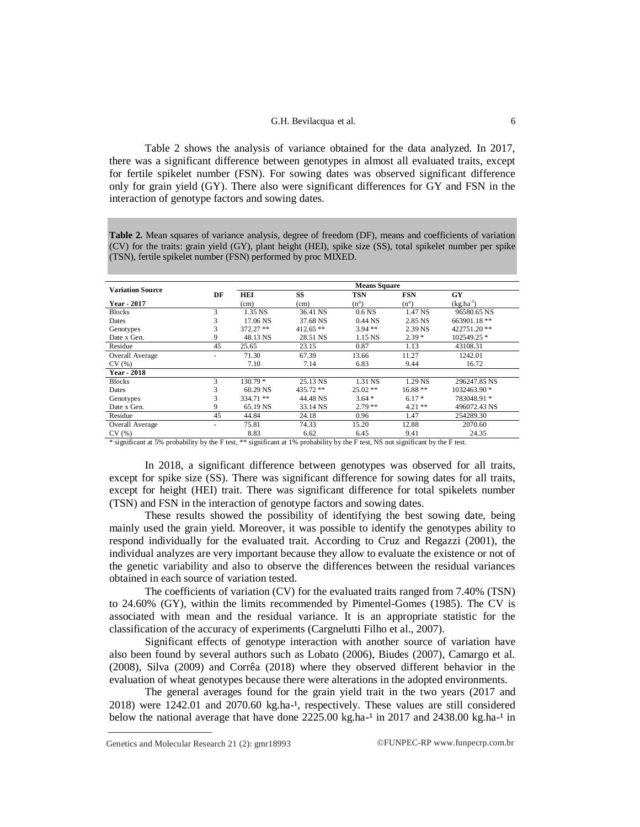#### G.H. Bevilacqua et al. 6

Table 2 shows the analysis of variance obtained for the data analyzed. In 2017, there was a significant difference between genotypes in almost all evaluated traits, except for fertile spikelet number (FSN). For sowing dates was observed significant difference only for grain yield (GY). There also were significant differences for GY and FSN in the interaction of genotype factors and sowing dates.

**Table 2.** Mean squares of variance analysis, degree of freedom (DF), means and coefficients of variation (CV) for the traits: grain yield (GY), plant height (HEI), spike size (SS), total spikelet number per spike (TSN), fertile spikelet number (FSN) performed by proc MIXED.

|                         |    |            |            | <b>Means Square</b> |               |                |
|-------------------------|----|------------|------------|---------------------|---------------|----------------|
| <b>Variation Source</b> | DF | <b>HEI</b> | SS         | <b>TSN</b>          | <b>FSN</b>    | GY             |
| Year - 2017             |    | (cm)       | (cm)       | $(n^{\circ})$       | $(n^{\circ})$ | $(kg.ha^{-1})$ |
| <b>Blocks</b>           | 3  | 1.35 NS    | 36.41 NS   | 0.6 <sub>NS</sub>   | 1.47 NS       | 96580.65 NS    |
| Dates                   | 3  | 17.06 NS   | 37.68 NS   | $0.44$ NS           | 2.85 NS       | 663901.18**    |
| Genotypes               | 3  | 372.27 **  | $412.65**$ | $3.94**$            | 2.39 NS       | 422751.20**    |
| Date x Gen.             | 9  | 48.13 NS   | 28.51 NS   | 1.15 NS             | $2.39*$       | 102549.25 *    |
| Residue                 | 45 | 25.65      | 23.15      | 0.87                | 1.13          | 43108.31       |
| Overall Average         |    | 71.30      | 67.39      | 13.66               | 11.27         | 1242.01        |
| CV(%)                   |    | 7.10       | 7.14       | 6.83                | 9.44          | 16.72          |
| <b>Year - 2018</b>      |    |            |            |                     |               |                |
| <b>Blocks</b>           | 3  | $130.79*$  | 25.13 NS   | 1.31 NS             | 1.29 NS       | 296247.85 NS   |
| Dates                   | 3  | 60.29 NS   | 435.72 **  | $25.02**$           | $16.88**$     | 1032463.90 *   |
| Genotypes               | 3  | 334.71 **  | 44.48 NS   | $3.64*$             | $6.17*$       | 783048.91 *    |
| Date x Gen.             | 9  | 65.19 NS   | 33.14 NS   | $2.79**$            | $4.21**$      | 496072.43 NS   |
| Residue                 | 45 | 44.84      | 24.18      | 0.96                | 1.47          | 254289.30      |
| Overall Average         |    | 75.81      | 74.33      | 15.20               | 12.88         | 2070.60        |
| CV(%)                   |    | 8.83       | 6.62       | 6.45                | 9.41          | 24.35          |

\* significant at 5% probability by the F test, \*\* significant at 1% probability by the F test, NS not significant by the F test.

In 2018, a significant difference between genotypes was observed for all traits, except for spike size (SS). There was significant difference for sowing dates for all traits, except for height (HEI) trait. There was significant difference for total spikelets number (TSN) and FSN in the interaction of genotype factors and sowing dates.

These results showed the possibility of identifying the best sowing date, being mainly used the grain yield. Moreover, it was possible to identify the genotypes ability to respond individually for the evaluated trait. According to Cruz and Regazzi (2001), the individual analyzes are very important because they allow to evaluate the existence or not of the genetic variability and also to observe the differences between the residual variances obtained in each source of variation tested.

The coefficients of variation (CV) for the evaluated traits ranged from 7.40% (TSN) to 24.60% (GY), within the limits recommended by Pimentel-Gomes (1985). The CV is associated with mean and the residual variance. It is an appropriate statistic for the classification of the accuracy of experiments (Cargnelutti Filho et al., 2007).

Significant effects of genotype interaction with another source of variation have also been found by several authors such as Lobato (2006), Biudes (2007), Camargo et al. (2008), Silva (2009) and Corrêa (2018) where they observed different behavior in the evaluation of wheat genotypes because there were alterations in the adopted environments.

The general averages found for the grain yield trait in the two years (2017 and  $2018$ ) were  $1242.01$  and  $2070.60$  kg.ha-<sup>1</sup>, respectively. These values are still considered below the national average that have done  $2225.00$  kg.ha-<sup>1</sup> in 2017 and 2438.00 kg.ha-<sup>1</sup> in

Genetics and Molecular Research 21 (2):  $gmr18993$  ©FUNPEC-RP [www.funpecrp.com.br](http://www.funpecrp.com.br)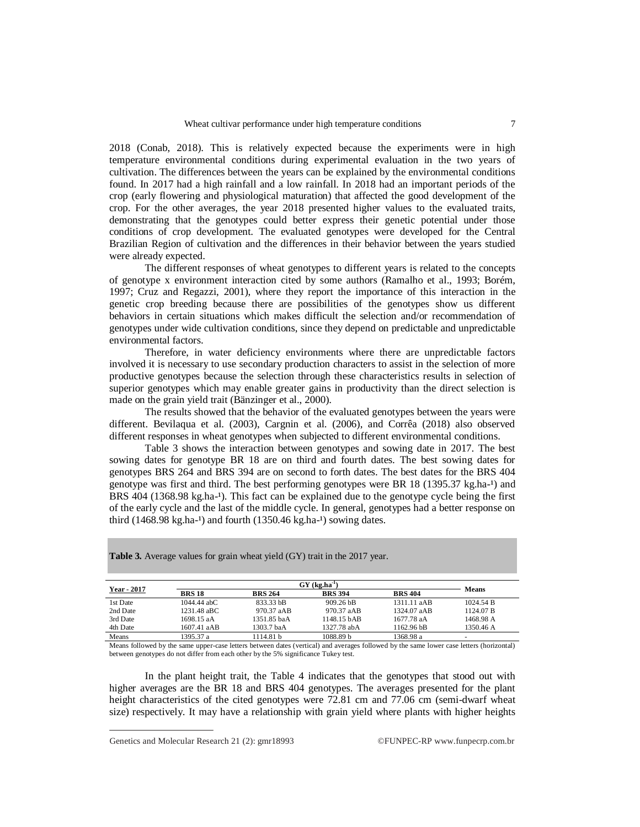2018 (Conab, 2018). This is relatively expected because the experiments were in high temperature environmental conditions during experimental evaluation in the two years of cultivation. The differences between the years can be explained by the environmental conditions found. In 2017 had a high rainfall and a low rainfall. In 2018 had an important periods of the crop (early flowering and physiological maturation) that affected the good development of the crop. For the other averages, the year 2018 presented higher values to the evaluated traits, demonstrating that the genotypes could better express their genetic potential under those conditions of crop development. The evaluated genotypes were developed for the Central Brazilian Region of cultivation and the differences in their behavior between the years studied were already expected.

The different responses of wheat genotypes to different years is related to the concepts of genotype x environment interaction cited by some authors (Ramalho et al., 1993; Borém, 1997; Cruz and Regazzi, 2001), where they report the importance of this interaction in the genetic crop breeding because there are possibilities of the genotypes show us different behaviors in certain situations which makes difficult the selection and/or recommendation of genotypes under wide cultivation conditions, since they depend on predictable and unpredictable environmental factors.

Therefore, in water deficiency environments where there are unpredictable factors involved it is necessary to use secondary production characters to assist in the selection of more productive genotypes because the selection through these characteristics results in selection of superior genotypes which may enable greater gains in productivity than the direct selection is made on the grain yield trait (Bänzinger et al., 2000).

The results showed that the behavior of the evaluated genotypes between the years were different. Bevilaqua et al. (2003), Cargnin et al. (2006), and Corrêa (2018) also observed different responses in wheat genotypes when subjected to different environmental conditions.

Table 3 shows the interaction between genotypes and sowing date in 2017. The best sowing dates for genotype BR 18 are on third and fourth dates. The best sowing dates for genotypes BRS 264 and BRS 394 are on second to forth dates. The best dates for the BRS 404 genotype was first and third. The best performing genotypes were BR 18 (1395.37 kg.ha-1) and BRS  $404$  (1368.98 kg.ha<sup>-1</sup>). This fact can be explained due to the genotype cycle being the first of the early cycle and the last of the middle cycle. In general, genotypes had a better response on third (1468.98 kg.ha-1) and fourth (1350.46 kg.ha-1) sowing dates.

| Year - 2017 |               | $GY$ (kg.ha <sup>-1</sup> ) |                |                |              |  |  |  |
|-------------|---------------|-----------------------------|----------------|----------------|--------------|--|--|--|
|             | <b>BRS 18</b> | <b>BRS 264</b>              | <b>BRS 394</b> | <b>BRS 404</b> | <b>Means</b> |  |  |  |
| 1st Date    | $1044.44$ abC | 833.33 bB                   | $909.26$ bB    | 1311.11 aAB    | 1024.54 B    |  |  |  |
| 2nd Date    | 1231.48 aBC   | 970.37 aAB                  | 970.37 aAB     | 1324.07 aAB    | 1124.07 B    |  |  |  |
| 3rd Date    | 1698.15 aA    | 1351.85 baA                 | 1148.15 bAB    | 1677.78 aA     | 1468.98 A    |  |  |  |
| 4th Date    | 1607.41 aAB   | 1303.7 baA                  | 1327.78 abA    | 1162.96 bB     | 1350.46 A    |  |  |  |
| Means       | 1395.37 a     | 1114.81h                    | 1088.89 b      | 1368.98 a      | ۰            |  |  |  |

Table 3. Average values for grain wheat yield (GY) trait in the 2017 year.

Means followed by the same upper-case letters between dates (vertical) and averages followed by the same lower case letters (horizontal) between genotypes do not differ from each other by the 5% significance Tukey test.

In the plant height trait, the Table 4 indicates that the genotypes that stood out with higher averages are the BR 18 and BRS 404 genotypes. The averages presented for the plant height characteristics of the cited genotypes were 72.81 cm and 77.06 cm (semi-dwarf wheat size) respectively. It may have a relationship with grain yield where plants with higher heights

Genetics and Molecular Research 21 (2): gmr18993 ©FUNPEC-RP [www.funpecrp.com.br](http://www.funpecrp.com.br)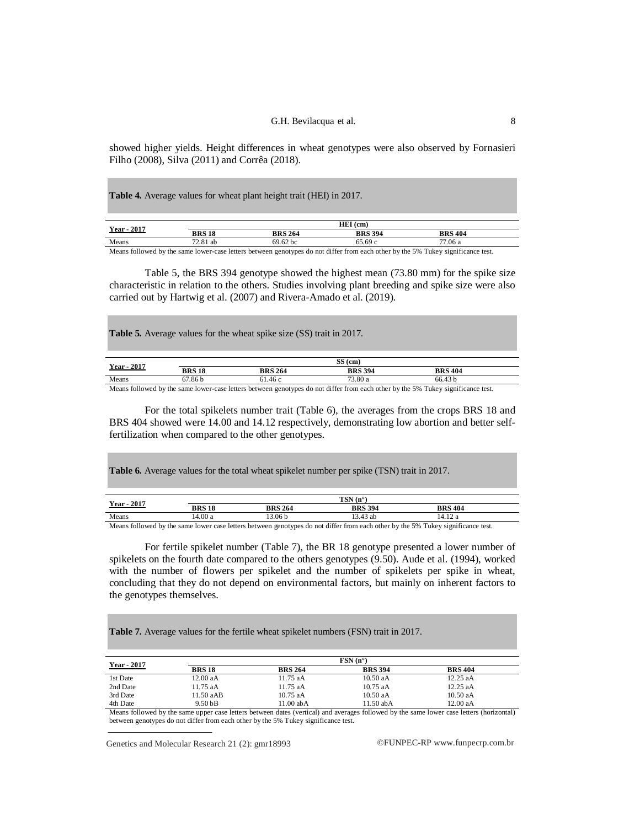showed higher yields. Height differences in wheat genotypes were also observed by Fornasieri Filho (2008), Silva (2011) and Corrêa (2018).

**Table 4.** Average values for wheat plant height trait (HEI) in 2017.

| 2017<br>Year - |               |                | $HEI$ (cm)     |                                                                                                                                                                                                                                                                                                                                                                                                                          |
|----------------|---------------|----------------|----------------|--------------------------------------------------------------------------------------------------------------------------------------------------------------------------------------------------------------------------------------------------------------------------------------------------------------------------------------------------------------------------------------------------------------------------|
|                | <b>BRS 18</b> | <b>BRS 264</b> | <b>BRS 394</b> | <b>BRS 404</b>                                                                                                                                                                                                                                                                                                                                                                                                           |
| Means          | 72.81 ab      | 69.62 bc       | 65.69 c        | <sup>77.06</sup> a                                                                                                                                                                                                                                                                                                                                                                                                       |
|                |               |                |                | $\mathbf{M} = \mathbf{C} \mathbf{H} + \mathbf{H} \mathbf{A} + \mathbf{H} \mathbf{A} + \mathbf{H} \mathbf{A} + \mathbf{H} \mathbf{A} + \mathbf{H} \mathbf{A} + \mathbf{H} \mathbf{A} + \mathbf{H} \mathbf{A} + \mathbf{H} \mathbf{A} + \mathbf{H} \mathbf{A} + \mathbf{H} \mathbf{A} + \mathbf{H} \mathbf{A} + \mathbf{H} \mathbf{A} + \mathbf{H} \mathbf{A} + \mathbf{H} \mathbf{A} + \mathbf{H} \mathbf{A} + \mathbf{H$ |

Means followed by the same lower-case letters between genotypes do not differ from each other by the 5% Tukey significance test.

Table 5, the BRS 394 genotype showed the highest mean (73.80 mm) for the spike size characteristic in relation to the others. Studies involving plant breeding and spike size were also carried out by Hartwig et al. (2007) and Rivera-Amado et al. (2019).

**Table 5.** Average values for the wheat spike size (SS) trait in 2017.

| <b>Year - 2017</b> |               |                | $SS$ (cm)      |                |  |
|--------------------|---------------|----------------|----------------|----------------|--|
|                    | <b>BRS 18</b> | <b>BRS 264</b> | <b>BRS 394</b> | <b>BRS 404</b> |  |
| Means              | '.86 b<br>67  | 61.46 c        | 73.80 a        | 66.43 b        |  |

Means followed by the same lower-case letters between genotypes do not differ from each other by the 5% Tukey significance test.

For the total spikelets number trait (Table 6), the averages from the crops BRS 18 and BRS 404 showed were 14.00 and 14.12 respectively, demonstrating low abortion and better selffertilization when compared to the other genotypes.

**Table 6.** Average values for the total wheat spikelet number per spike (TSN) trait in 2017.

| $-2017$<br>Year- |               |                   | $TSN(n^{\circ})$ |                |  |
|------------------|---------------|-------------------|------------------|----------------|--|
|                  | <b>BRS 18</b> | <b>BRS 264</b>    | <b>BRS 394</b>   | <b>BRS 404</b> |  |
| Means            | 14.00 a       | 3.06 <sub>b</sub> | 13.43 ab         |                |  |

Means followed by the same lower case letters between genotypes do not differ from each other by the 5% Tukey significance test.

For fertile spikelet number (Table 7), the BR 18 genotype presented a lower number of spikelets on the fourth date compared to the others genotypes (9.50). Aude et al. (1994), worked with the number of flowers per spikelet and the number of spikelets per spike in wheat, concluding that they do not depend on environmental factors, but mainly on inherent factors to the genotypes themselves.

**Table 7.** Average values for the fertile wheat spikelet numbers (FSN) trait in 2017.

|             | $FSN(n^{\circ})$   |                |                |                |  |  |  |
|-------------|--------------------|----------------|----------------|----------------|--|--|--|
| Year - 2017 | <b>BRS 18</b>      | <b>BRS 264</b> | <b>BRS 394</b> | <b>BRS 404</b> |  |  |  |
| 1st Date    | 12.00aA            | 11.75 aA       | $10.50$ aA     | $12.25$ aA     |  |  |  |
| 2nd Date    | $11.75$ aA         | $11.75$ aA     | $10.75$ aA     | $12.25$ aA     |  |  |  |
| 3rd Date    | 11.50 aAB          | $10.75$ aA     | 10.50 aA       | $10.50$ aA     |  |  |  |
| 4th Date    | 9.50 <sub>bB</sub> | 11.00 abA      | 11.50 abA      | 12.00 aA       |  |  |  |

Means followed by the same upper case letters between dates (vertical) and averages followed by the same lower case letters (horizontal) between genotypes do not differ from each other by the 5% Tukey significance test.

Genetics and Molecular Research 21 (2): gmr18993 ©FUNPEC-RP [www.funpecrp.com.br](http://www.funpecrp.com.br)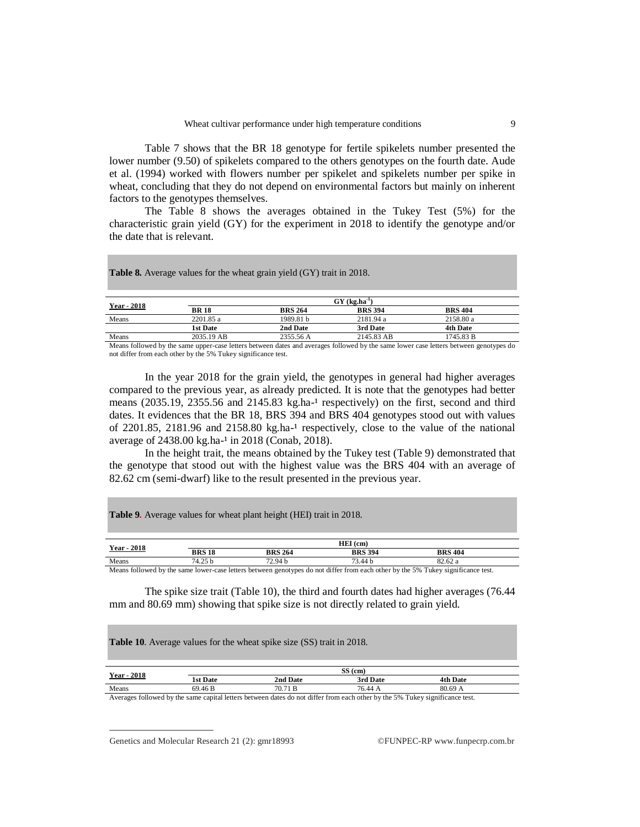Table 7 shows that the BR 18 genotype for fertile spikelets number presented the lower number (9.50) of spikelets compared to the others genotypes on the fourth date. Aude et al. (1994) worked with flowers number per spikelet and spikelets number per spike in wheat, concluding that they do not depend on environmental factors but mainly on inherent factors to the genotypes themselves.

The Table 8 shows the averages obtained in the Tukey Test (5%) for the characteristic grain yield (GY) for the experiment in 2018 to identify the genotype and/or the date that is relevant.

**Table 8.** Average values for the wheat grain yield (GY) trait in 2018.

| <b>Year - 2018</b>                                                                                     |             |                | $GY$ (kg.ha <sup>-1</sup> ) |                |  |
|--------------------------------------------------------------------------------------------------------|-------------|----------------|-----------------------------|----------------|--|
|                                                                                                        | <b>BR18</b> | <b>BRS 264</b> | <b>BRS 394</b>              | <b>BRS 404</b> |  |
| Means                                                                                                  | 2201.85 a   | 1989.81 h      | 2181.94 a                   | 2158.80 a      |  |
|                                                                                                        | 1st Date    | 2nd Date       | 3rd Date                    | 4th Date       |  |
| Means                                                                                                  | 2035.19 AB  | 2355.56 A      | 2145.83 AB                  | 1745.83 B      |  |
| $\mathbf{v}$ $\mathbf{v}$ $\mathbf{v}$ $\mathbf{v}$ $\mathbf{v}$ $\mathbf{v}$ $\mathbf{v}$<br>$\cdots$ |             | $\sim$ $\sim$  | 0.11<br>$\cdots$            |                |  |

Means followed by the same upper-case letters between dates and averages followed by the same lower case letters between genotypes do not differ from each other by the 5% Tukey significance test.

In the year 2018 for the grain yield, the genotypes in general had higher averages compared to the previous year, as already predicted. It is note that the genotypes had better means  $(2035.19, 2355.56$  and  $2145.83$  kg.ha-<sup>1</sup> respectively) on the first, second and third dates. It evidences that the BR 18, BRS 394 and BRS 404 genotypes stood out with values of  $2201.85$ ,  $2181.96$  and  $2158.80$  kg.ha<sup>-1</sup> respectively, close to the value of the national average of  $2438.00 \text{ kg.ha}^{-1}$  in  $2018 \text{ (Conab, 2018)}$ .

In the height trait, the means obtained by the Tukey test (Table 9) demonstrated that the genotype that stood out with the highest value was the BRS 404 with an average of 82.62 cm (semi-dwarf) like to the result presented in the previous year.

**Table 9.** Average values for wheat plant height (HEI) trait in 2018.

| <b>Year - 2018</b> |                            |                | HEI (cm)       |                |
|--------------------|----------------------------|----------------|----------------|----------------|
|                    | <b>BRS 18</b>              | <b>BRS 264</b> | <b>BRS 394</b> | <b>BRS 404</b> |
| Means              | 74.25 b                    | 72.94 b        | 73.44 b        | 82.62 a        |
| ___<br>.<br>.      | $\sim$<br>$\sim$<br>$\sim$ |                | .              |                |

Means followed by the same lower-case letters between genotypes do not differ from each other by the 5% Tukey significance test.

The spike size trait (Table 10), the third and fourth dates had higher averages (76.44 mm and 80.69 mm) showing that spike size is not directly related to grain yield.

**Table 10**. Average values for the wheat spike size (SS) trait in 2018.

| 2018<br>Year- |                    |          | $SS$ (cm) |          |  |
|---------------|--------------------|----------|-----------|----------|--|
|               | <b>1st Date</b>    | 2nd Date | 3rd Date  | 4th Date |  |
| Means         | 69.46 <sub>B</sub> | 70.71 B  | 76.44     | 80.69    |  |

Averages followed by the same capital letters between dates do not differ from each other by the 5% Tukey significance test.

Genetics and Molecular Research 21 (2):  $gmr18993$  ©FUNPEC-RP [www.funpecrp.com.br](http://www.funpecrp.com.br)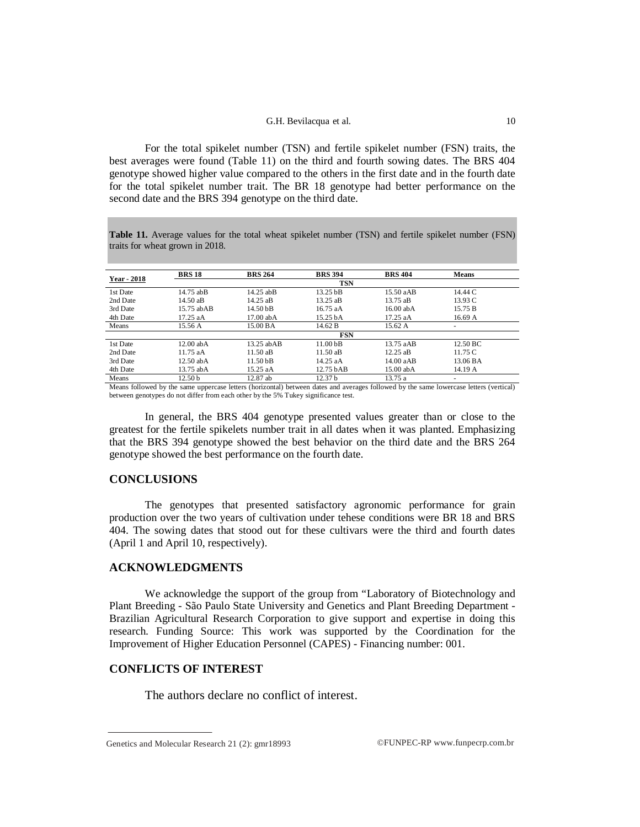#### G.H. Bevilacqua et al. 10

For the total spikelet number (TSN) and fertile spikelet number (FSN) traits, the best averages were found (Table 11) on the third and fourth sowing dates. The BRS 404 genotype showed higher value compared to the others in the first date and in the fourth date for the total spikelet number trait. The BR 18 genotype had better performance on the second date and the BRS 394 genotype on the third date.

**Table 11.** Average values for the total wheat spikelet number (TSN) and fertile spikelet number (FSN) traits for wheat grown in 2018.

|                    | <b>BRS 18</b>      | <b>BRS 264</b>       | <b>BRS 394</b>       | <b>BRS 404</b> | <b>Means</b>         |  |
|--------------------|--------------------|----------------------|----------------------|----------------|----------------------|--|
| <b>Year - 2018</b> |                    |                      | <b>TSN</b>           |                |                      |  |
| 1st Date           | 14.75 abB          | $14.25$ abB          | 13.25 <sub>b</sub> B | 15.50aAB       | 14.44 C              |  |
| 2nd Date           | 14.50aB            | $14.25$ aB           | 13.25 aB             | 13.75 aB       | 13.93C               |  |
| 3rd Date           | 15.75 ab AB        | 14.50 <sub>b</sub> B | 16.75aA              | $16.00$ ab A   | 15.75 B              |  |
| 4th Date           | 17.25aA            | $17.00$ ab A         | 15.25 bA             | $17.25$ aA     | 16.69A               |  |
| Means              | 15.56 A            | 15.00 BA             | 14.62 B              | 15.62 A        |                      |  |
|                    |                    |                      | <b>FSN</b>           |                |                      |  |
| 1st Date           | $12.00$ ab A       | 13.25 ab AB          | 11.00 <sub>b</sub> B | 13.75 aAB      | $12.50\,\mathrm{BC}$ |  |
| 2nd Date           | $11.75$ aA         | $11.50a$ B           | 11.50aB              | $12.25$ aB     | 11.75C               |  |
| 3rd Date           | $12.50$ ab A       | 11.50 <sub>b</sub> B | $14.25$ aA           | 14.00aAB       | 13.06 BA             |  |
| 4th Date           | 13.75 abA          | 15.25 aA             | $12.75$ bAB          | $15.00$ ab A   | 14.19 A              |  |
| Means              | 12.50 <sub>b</sub> | $12.87$ ab           | 12.37 <sub>b</sub>   | 13.75 a        | ۰                    |  |

Means followed by the same uppercase letters (horizontal) between dates and averages followed by the same lowercase letters (vertical) between genotypes do not differ from each other by the 5% Tukey significance test.

In general, the BRS 404 genotype presented values greater than or close to the greatest for the fertile spikelets number trait in all dates when it was planted. Emphasizing that the BRS 394 genotype showed the best behavior on the third date and the BRS 264 genotype showed the best performance on the fourth date.

## **CONCLUSIONS**

The genotypes that presented satisfactory agronomic performance for grain production over the two years of cultivation under tehese conditions were BR 18 and BRS 404. The sowing dates that stood out for these cultivars were the third and fourth dates (April 1 and April 10, respectively).

## **ACKNOWLEDGMENTS**

We acknowledge the support of the group from "Laboratory of Biotechnology and Plant Breeding - São Paulo State University and Genetics and Plant Breeding Department - Brazilian Agricultural Research Corporation to give support and expertise in doing this research. Funding Source: This work was supported by the Coordination for the Improvement of Higher Education Personnel (CAPES) - Financing number: 001.

# **CONFLICTS OF INTEREST**

The authors declare no conflict of interest.

Genetics and Molecular Research 21 (2):  $gmr18993$  ©FUNPEC-RP [www.funpecrp.com.br](http://www.funpecrp.com.br)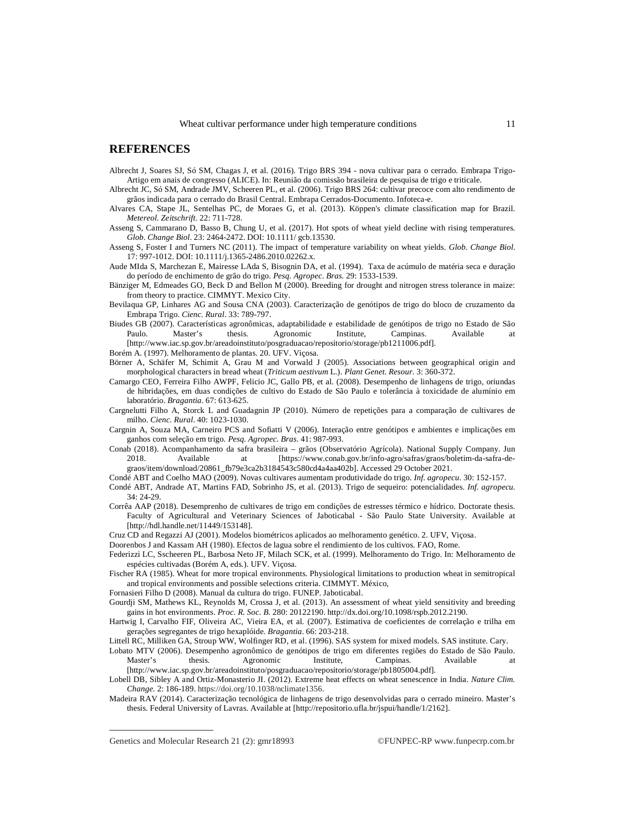### **REFERENCES**

- Albrecht J, Soares SJ, Só SM, Chagas J, et al. (2016). Trigo BRS 394 nova cultivar para o cerrado. Embrapa Trigo-Artigo em anais de congresso (ALICE). In: Reunião da comissão brasileira de pesquisa de trigo e triticale.
- Albrecht JC, Só SM, Andrade JMV, Scheeren PL, et al. (2006). Trigo BRS 264: cultivar precoce com alto rendimento de grãos indicada para o cerrado do Brasil Central. Embrapa Cerrados-Documento. Infoteca-e.
- Alvares CA, Stape JL, Sentelhas PC, de Moraes G, et al. (2013). Köppen's climate classification map for Brazil. *Metereol. Zeitschrift*. 22: 711-728.
- Asseng S, Cammarano D, Basso B, Chung U, et al. (2017). Hot spots of wheat yield decline with rising temperatures. *Glob. Change Biol*. 23: 2464-2472. DOI: 10.1111/ gcb.13530.
- Asseng S, Foster I and Turners NC (2011). The impact of temperature variability on wheat yields. *Glob. Change Biol*. 17: 997-1012. DOI: 10.1111/j.1365-2486.2010.02262.x.
- Aude MIda S, Marchezan E, Mairesse LAda S, Bisognin DA, et al. (1994). Taxa de acúmulo de matéria seca e duração do período de enchimento de grão do trigo. *Pesq. Agropec. Bras.* 29: 1533-1539.
- Bänziger M, Edmeades GO, Beck D and Bellon M (2000). Breeding for drought and nitrogen stress tolerance in maize: from theory to practice. CIMMYT. Mexico City.
- Bevilaqua GP, Linhares AG and Sousa CNA (2003). Caracterização de genótipos de trigo do bloco de cruzamento da Embrapa Trigo. *Cienc. Rural*. 33: 789-797.
- Biudes GB (2007). Características agronômicas, adaptabilidade e estabilidade de genótipos de trigo no Estado de São Paulo. Master's thesis. Agronomic Institute, Campinas. Available at [\[http://www.iac.sp.gov.br/areadoinstituto/posgraduacao/repositorio/storage/pb1211006.pdf\]](http://www.iac.sp.gov.br/areadoinstituto/posgraduacao/repositorio/storage/pb1211006.pdf).

Borém A. (1997). Melhoramento de plantas. 20. UFV. Viçosa.

Börner A, Schäfer M, Schimit A, Grau M and Vorwald J (2005). Associations between geographical origin and morphological characters in bread wheat (*Triticum aestivum* L.). *Plant Genet. Resour*. 3: 360-372.

- Camargo CEO, Ferreira Filho AWPF, Felicio JC, Gallo PB, et al. (2008). Desempenho de linhagens de trigo, oriundas de hibridações, em duas condições de cultivo do Estado de São Paulo e tolerância à toxicidade de alumínio em laboratório. *Bragantia*. 67: 613-625.
- Cargnelutti Filho A, Storck L and Guadagnin JP (2010). Número de repetições para a comparação de cultivares de milho. *Cienc. Rural*. 40: 1023-1030.
- Cargnin A, Souza MA, Carneiro PCS and Sofiatti V (2006). Interação entre genótipos e ambientes e implicações em ganhos com seleção em trigo. *Pesq. Agropec. Bras*. 41: 987-993.
- Conab (2018). Acompanhamento da safra brasileira grãos (Observatório Agrícola). National Supply Company. Jun 2018. Available at [[https://www.conab.gov.br/info-agro/safras/graos/boletim-da-safra-de](https://www.conab.gov.br/info-agro/safras/graos/boletim-da-safra-de-)graos/item/download/20861\_fb79e3ca2b3184543c580cd4a4aa402b]. Accessed 29 October 2021.
- Condé ABT and Coelho MAO (2009). Novas cultivares aumentam produtividade do trigo. *Inf. agropecu*. 30: 152-157.
- Condé ABT, Andrade AT, Martins FAD, Sobrinho JS, et al. (2013). Trigo de sequeiro: potencialidades. *Inf. agropecu.* 34: 24-29.
- Corrêa AAP (2018). Desemprenho de cultivares de trigo em condições de estresses térmico e hídrico. Doctorate thesis. Faculty of Agricultural and Veterinary Sciences of Jaboticabal - São Paulo State University. Available at [\[http://hdl.handle.net/11449/153148](http://hdl.handle.net/11449/153148)].

Cruz CD and Regazzi AJ (2001). Modelos biométricos aplicados ao melhoramento genético. 2. UFV, Viçosa.

- Doorenbos J and Kassam AH (1980). Efectos de lagua sobre el rendimiento de los cultivos. FAO, Rome.
- Federizzi LC, Sscheeren PL, Barbosa Neto JF, Milach SCK, et al. (1999). Melhoramento do Trigo. In: Melhoramento de espécies cultivadas (Borém A, eds.). UFV. Viçosa.
- Fischer RA (1985). Wheat for more tropical environments. Physiological limitations to production wheat in semitropical and tropical environments and possible selections criteria. CIMMYT. México,

Fornasieri Filho D (2008). Manual da cultura do trigo. FUNEP. Jaboticabal.

- Gourdji SM, Mathews KL, Reynolds M, Crossa J, et al. (2013). An assessment of wheat yield sensitivity and breeding gains in hot environments. *Proc. R. Soc. B.* 280: 20122190.<http://dx.doi.org/10.1098/rspb.2012.2190.>
- Hartwig I, Carvalho FIF, Oliveira AC, Vieira EA, et al. (2007). Estimativa de coeficientes de correlação e trilha em gerações segregantes de trigo hexaplóide. *Bragantia*. 66: 203-218.
- Littell RC, Milliken GA, Stroup WW, Wolfinger RD, et al. (1996). SAS system for mixed models. SAS institute. Cary.
- Lobato MTV (2006). Desempenho agronômico de genótipos de trigo em diferentes regiões do Estado de São Paulo. Master's thesis. Agronomic Institute, Campinas. Available at [\[http://www.iac.sp.gov.br/areadoinstituto/posgraduacao/repositorio/storage/pb1805004.pdf\]](http://www.iac.sp.gov.br/areadoinstituto/posgraduacao/repositorio/storage/pb1805004.pdf).
- Lobell DB, Sibley A and Ortiz-Monasterio JI. (2012). Extreme heat effects on wheat senescence in India. *Nature Clim. Change.* 2: 186-189.<https://doi.org/10.1038/nclimate1356.>

Madeira RAV (2014). Caracterização tecnológica de linhagens de trigo desenvolvidas para o cerrado mineiro. Master's thesis. Federal University of Lavras. Available at [\[http://repositorio.ufla.br/jspui/handle/1/2162\]](http://repositorio.ufla.br/jspui/handle/1/2162).

Genetics and Molecular Research 21 (2):  $gmr18993$  ©FUNPEC-RP [www.funpecrp.com.br](http://www.funpecrp.com.br)